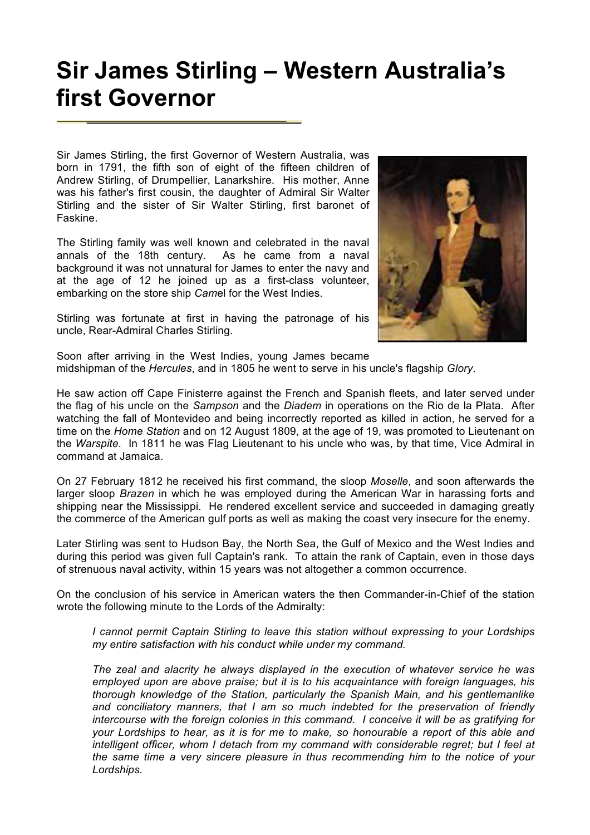## **Sir James Stirling – Western Australia's first Governor**

Sir James Stirling, the first Governor of Western Australia, was born in 1791, the fifth son of eight of the fifteen children of Andrew Stirling, of Drumpellier, Lanarkshire. His mother, Anne was his father's first cousin, the daughter of Admiral Sir Walter Stirling and the sister of Sir Walter Stirling, first baronet of Faskine.

The Stirling family was well known and celebrated in the naval annals of the 18th century. As he came from a naval background it was not unnatural for James to enter the navy and at the age of 12 he joined up as a first-class volunteer, embarking on the store ship *Cam*el for the West Indies.



Stirling was fortunate at first in having the patronage of his uncle, Rear-Admiral Charles Stirling.

Soon after arriving in the West Indies, young James became midshipman of the *Hercules*, and in 1805 he went to serve in his uncle's flagship *Glory*.

He saw action off Cape Finisterre against the French and Spanish fleets, and later served under the flag of his uncle on the *Sampson* and the *Diadem* in operations on the Rio de la Plata. After watching the fall of Montevideo and being incorrectly reported as killed in action, he served for a time on the *Home Station* and on 12 August 1809, at the age of 19, was promoted to Lieutenant on the *Warspite*. In 1811 he was Flag Lieutenant to his uncle who was, by that time, Vice Admiral in command at Jamaica.

On 27 February 1812 he received his first command, the sloop *Moselle*, and soon afterwards the larger sloop *Brazen* in which he was employed during the American War in harassing forts and shipping near the Mississippi. He rendered excellent service and succeeded in damaging greatly the commerce of the American gulf ports as well as making the coast very insecure for the enemy.

Later Stirling was sent to Hudson Bay, the North Sea, the Gulf of Mexico and the West Indies and during this period was given full Captain's rank. To attain the rank of Captain, even in those days of strenuous naval activity, within 15 years was not altogether a common occurrence.

On the conclusion of his service in American waters the then Commander-in-Chief of the station wrote the following minute to the Lords of the Admiralty:

*I cannot permit Captain Stirling to leave this station without expressing to your Lordships my entire satisfaction with his conduct while under my command.*

*The zeal and alacrity he always displayed in the execution of whatever service he was employed upon are above praise; but it is to his acquaintance with foreign languages, his thorough knowledge of the Station, particularly the Spanish Main, and his gentlemanlike and conciliatory manners, that I am so much indebted for the preservation of friendly intercourse with the foreign colonies in this command. I conceive it will be as gratifying for your Lordships to hear, as it is for me to make, so honourable a report of this able and intelligent officer, whom I detach from my command with considerable regret; but I feel at the same time a very sincere pleasure in thus recommending him to the notice of your Lordships.*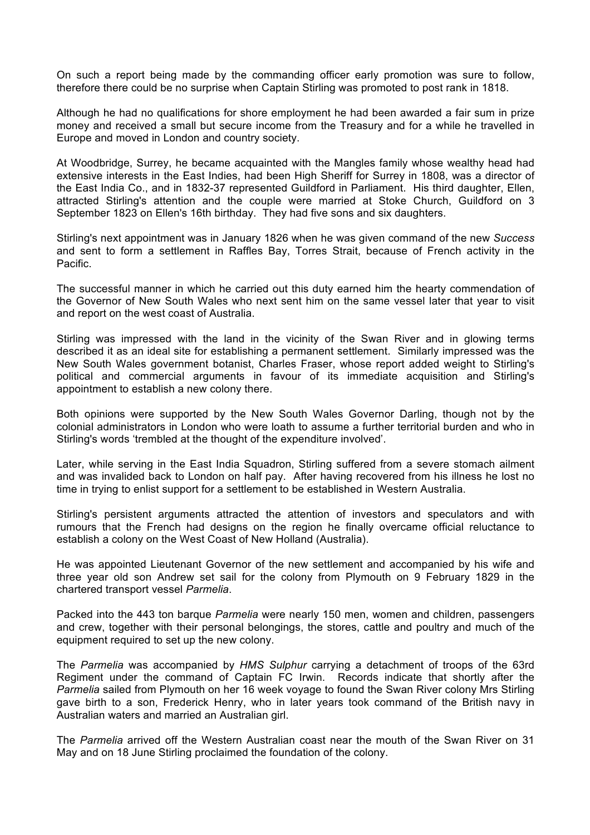On such a report being made by the commanding officer early promotion was sure to follow, therefore there could be no surprise when Captain Stirling was promoted to post rank in 1818.

Although he had no qualifications for shore employment he had been awarded a fair sum in prize money and received a small but secure income from the Treasury and for a while he travelled in Europe and moved in London and country society.

At Woodbridge, Surrey, he became acquainted with the Mangles family whose wealthy head had extensive interests in the East Indies, had been High Sheriff for Surrey in 1808, was a director of the East India Co., and in 1832-37 represented Guildford in Parliament. His third daughter, Ellen, attracted Stirling's attention and the couple were married at Stoke Church, Guildford on 3 September 1823 on Ellen's 16th birthday. They had five sons and six daughters.

Stirling's next appointment was in January 1826 when he was given command of the new *Success* and sent to form a settlement in Raffles Bay, Torres Strait, because of French activity in the Pacific.

The successful manner in which he carried out this duty earned him the hearty commendation of the Governor of New South Wales who next sent him on the same vessel later that year to visit and report on the west coast of Australia.

Stirling was impressed with the land in the vicinity of the Swan River and in glowing terms described it as an ideal site for establishing a permanent settlement. Similarly impressed was the New South Wales government botanist, Charles Fraser, whose report added weight to Stirling's political and commercial arguments in favour of its immediate acquisition and Stirling's appointment to establish a new colony there.

Both opinions were supported by the New South Wales Governor Darling, though not by the colonial administrators in London who were loath to assume a further territorial burden and who in Stirling's words 'trembled at the thought of the expenditure involved'.

Later, while serving in the East India Squadron, Stirling suffered from a severe stomach ailment and was invalided back to London on half pay. After having recovered from his illness he lost no time in trying to enlist support for a settlement to be established in Western Australia.

Stirling's persistent arguments attracted the attention of investors and speculators and with rumours that the French had designs on the region he finally overcame official reluctance to establish a colony on the West Coast of New Holland (Australia).

He was appointed Lieutenant Governor of the new settlement and accompanied by his wife and three year old son Andrew set sail for the colony from Plymouth on 9 February 1829 in the chartered transport vessel *Parmelia*.

Packed into the 443 ton barque *Parmelia* were nearly 150 men, women and children, passengers and crew, together with their personal belongings, the stores, cattle and poultry and much of the equipment required to set up the new colony.

The *Parmelia* was accompanied by *HMS Sulphur* carrying a detachment of troops of the 63rd Regiment under the command of Captain FC Irwin. Records indicate that shortly after the *Parmelia* sailed from Plymouth on her 16 week voyage to found the Swan River colony Mrs Stirling gave birth to a son, Frederick Henry, who in later years took command of the British navy in Australian waters and married an Australian girl.

The *Parmelia* arrived off the Western Australian coast near the mouth of the Swan River on 31 May and on 18 June Stirling proclaimed the foundation of the colony.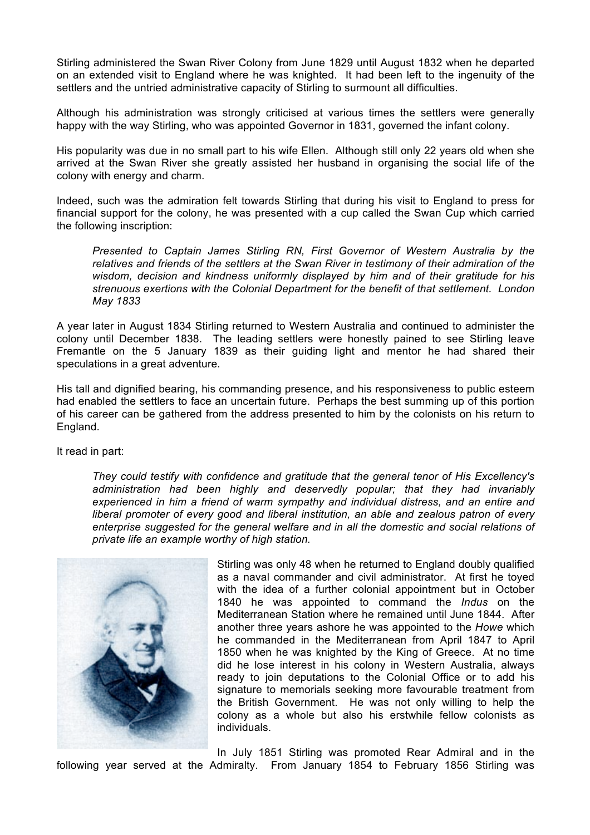Stirling administered the Swan River Colony from June 1829 until August 1832 when he departed on an extended visit to England where he was knighted. It had been left to the ingenuity of the settlers and the untried administrative capacity of Stirling to surmount all difficulties.

Although his administration was strongly criticised at various times the settlers were generally happy with the way Stirling, who was appointed Governor in 1831, governed the infant colony.

His popularity was due in no small part to his wife Ellen. Although still only 22 years old when she arrived at the Swan River she greatly assisted her husband in organising the social life of the colony with energy and charm.

Indeed, such was the admiration felt towards Stirling that during his visit to England to press for financial support for the colony, he was presented with a cup called the Swan Cup which carried the following inscription:

*Presented to Captain James Stirling RN, First Governor of Western Australia by the relatives and friends of the settlers at the Swan River in testimony of their admiration of the wisdom, decision and kindness uniformly displayed by him and of their gratitude for his strenuous exertions with the Colonial Department for the benefit of that settlement. London May 1833*

A year later in August 1834 Stirling returned to Western Australia and continued to administer the colony until December 1838. The leading settlers were honestly pained to see Stirling leave Fremantle on the 5 January 1839 as their guiding light and mentor he had shared their speculations in a great adventure.

His tall and dignified bearing, his commanding presence, and his responsiveness to public esteem had enabled the settlers to face an uncertain future. Perhaps the best summing up of this portion of his career can be gathered from the address presented to him by the colonists on his return to England.

It read in part:

*They could testify with confidence and gratitude that the general tenor of His Excellency's administration had been highly and deservedly popular; that they had invariably experienced in him a friend of warm sympathy and individual distress, and an entire and liberal promoter of every good and liberal institution, an able and zealous patron of every enterprise suggested for the general welfare and in all the domestic and social relations of private life an example worthy of high station.*



Stirling was only 48 when he returned to England doubly qualified as a naval commander and civil administrator. At first he toyed with the idea of a further colonial appointment but in October 1840 he was appointed to command the *Indus* on the Mediterranean Station where he remained until June 1844. After another three years ashore he was appointed to the *Howe* which he commanded in the Mediterranean from April 1847 to April 1850 when he was knighted by the King of Greece. At no time did he lose interest in his colony in Western Australia, always ready to join deputations to the Colonial Office or to add his signature to memorials seeking more favourable treatment from the British Government. He was not only willing to help the colony as a whole but also his erstwhile fellow colonists as individuals.

In July 1851 Stirling was promoted Rear Admiral and in the following year served at the Admiralty. From January 1854 to February 1856 Stirling was